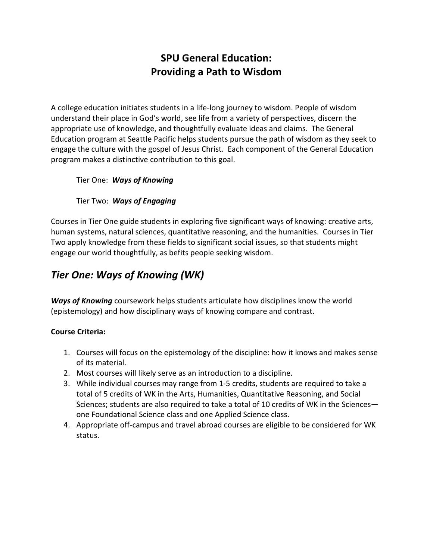# **SPU General Education: Providing a Path to Wisdom**

A college education initiates students in a life-long journey to wisdom. People of wisdom understand their place in God's world, see life from a variety of perspectives, discern the appropriate use of knowledge, and thoughtfully evaluate ideas and claims. The General Education program at Seattle Pacific helps students pursue the path of wisdom as they seek to engage the culture with the gospel of Jesus Christ. Each component of the General Education program makes a distinctive contribution to this goal.

Tier One: *Ways of Knowing*

### Tier Two: *Ways of Engaging*

Courses in Tier One guide students in exploring five significant ways of knowing: creative arts, human systems, natural sciences, quantitative reasoning, and the humanities. Courses in Tier Two apply knowledge from these fields to significant social issues, so that students might engage our world thoughtfully, as befits people seeking wisdom.

# *Tier One: Ways of Knowing (WK)*

*Ways of Knowing* coursework helps students articulate how disciplines know the world (epistemology) and how disciplinary ways of knowing compare and contrast.

### **Course Criteria:**

- 1. Courses will focus on the epistemology of the discipline: how it knows and makes sense of its material.
- 2. Most courses will likely serve as an introduction to a discipline.
- 3. While individual courses may range from 1-5 credits, students are required to take a total of 5 credits of WK in the Arts, Humanities, Quantitative Reasoning, and Social Sciences; students are also required to take a total of 10 credits of WK in the Sciences one Foundational Science class and one Applied Science class.
- 4. Appropriate off-campus and travel abroad courses are eligible to be considered for WK status.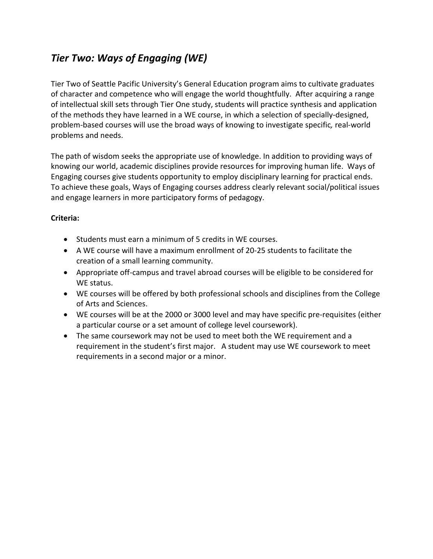# *Tier Two: Ways of Engaging (WE)*

Tier Two of Seattle Pacific University's General Education program aims to cultivate graduates of character and competence who will engage the world thoughtfully. After acquiring a range of intellectual skill sets through Tier One study, students will practice synthesis and application of the methods they have learned in a WE course, in which a selection of specially-designed, problem-based courses will use the broad ways of knowing to investigate specific*,* real-world problems and needs.

The path of wisdom seeks the appropriate use of knowledge. In addition to providing ways of knowing our world, academic disciplines provide resources for improving human life. Ways of Engaging courses give students opportunity to employ disciplinary learning for practical ends. To achieve these goals, Ways of Engaging courses address clearly relevant social/political issues and engage learners in more participatory forms of pedagogy.

### **Criteria:**

- Students must earn a minimum of 5 credits in WE courses.
- A WE course will have a maximum enrollment of 20-25 students to facilitate the creation of a small learning community.
- Appropriate off-campus and travel abroad courses will be eligible to be considered for WE status.
- WE courses will be offered by both professional schools and disciplines from the College of Arts and Sciences.
- WE courses will be at the 2000 or 3000 level and may have specific pre-requisites (either a particular course or a set amount of college level coursework).
- The same coursework may not be used to meet both the WE requirement and a requirement in the student's first major. A student may use WE coursework to meet requirements in a second major or a minor.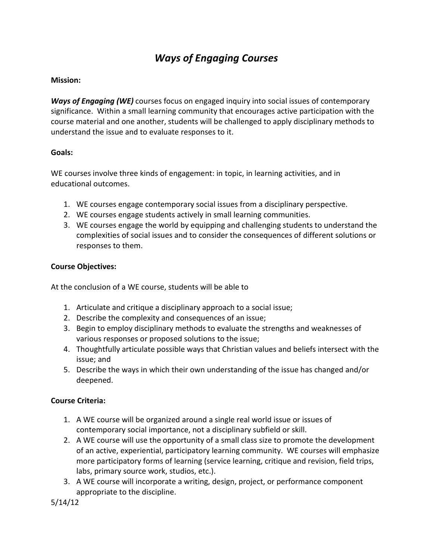# *Ways of Engaging Courses*

#### **Mission:**

*Ways of Engaging (WE)* courses focus on engaged inquiry into social issues of contemporary significance. Within a small learning community that encourages active participation with the course material and one another, students will be challenged to apply disciplinary methods to understand the issue and to evaluate responses to it.

### **Goals:**

WE courses involve three kinds of engagement: in topic, in learning activities, and in educational outcomes.

- 1. WE courses engage contemporary social issues from a disciplinary perspective.
- 2. WE courses engage students actively in small learning communities.
- 3. WE courses engage the world by equipping and challenging students to understand the complexities of social issues and to consider the consequences of different solutions or responses to them.

### **Course Objectives:**

At the conclusion of a WE course, students will be able to

- 1. Articulate and critique a disciplinary approach to a social issue;
- 2. Describe the complexity and consequences of an issue;
- 3. Begin to employ disciplinary methods to evaluate the strengths and weaknesses of various responses or proposed solutions to the issue;
- 4. Thoughtfully articulate possible ways that Christian values and beliefs intersect with the issue; and
- 5. Describe the ways in which their own understanding of the issue has changed and/or deepened.

### **Course Criteria:**

- 1. A WE course will be organized around a single real world issue or issues of contemporary social importance, not a disciplinary subfield or skill.
- 2. A WE course will use the opportunity of a small class size to promote the development of an active, experiential, participatory learning community. WE courses will emphasize more participatory forms of learning (service learning, critique and revision, field trips, labs, primary source work, studios, etc.).
- 3. A WE course will incorporate a writing, design, project, or performance component appropriate to the discipline.

5/14/12